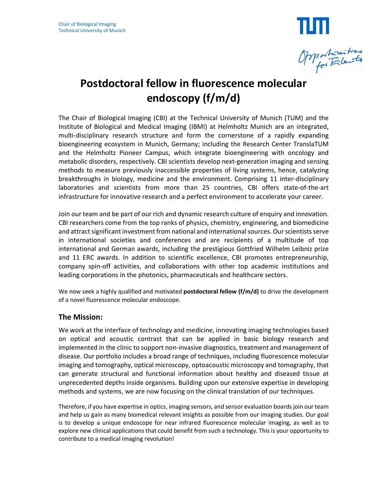

# **Postdoctoral fellow in fluorescence molecular endoscopy (f/m/d)**

The Chair of Biological Imaging (CBI) at the Technical University of Munich (TUM) and the Institute of Biological and Medical Imaging (IBMI) at Helmholtz Munich are an integrated, multi-disciplinary research structure and form the cornerstone of a rapidly expanding bioengineering ecosystem in Munich, Germany; including the Research Center TranslaTUM and the Helmholtz Pioneer Campus, which integrate bioengineering with oncology and metabolic disorders, respectively. CBI scientists develop next-generation imaging and sensing methods to measure previously inaccessible properties of living systems, hence, catalyzing breakthroughs in biology, medicine and the environment. Comprising 11 inter-disciplinary laboratories and scientists from more than 25 countries, CBI offers state-of-the-art infrastructure for innovative research and a perfect environment to accelerate your career.

Join our team and be part of our rich and dynamic research culture of enquiry and innovation. CBI researchers come from the top ranks of physics, chemistry, engineering, and biomedicine and attract significant investment from national and international sources. Our scientists serve in international societies and conferences and are recipients of a multitude of top international and German awards, including the prestigious Gottfried Wilhelm Leibniz prize and 11 ERC awards. In addition to scientific excellence, CBI promotes entrepreneurship, company spin-off activities, and collaborations with other top academic institutions and leading corporations in the photonics, pharmaceuticals and healthcare sectors.

We now seek a highly qualified and motivated **postdoctoral fellow (f/m/d)** to drive the development of a novel fluorescence molecular endoscope.

# **The Mission:**

We work at the interface of technology and medicine, innovating imaging technologies based on optical and acoustic contrast that can be applied in basic biology research and implemented in the clinic to support non-invasive diagnostics, treatment and management of disease. Our portfolio includes a broad range of techniques, including fluorescence molecular imaging and tomography, optical microscopy, optoacoustic microscopy and tomography, that can generate structural and functional information about healthy and diseased tissue at unprecedented depths inside organisms. Building upon our extensive expertise in developing methods and systems, we are now focusing on the clinical translation of our techniques.

Therefore, if you have expertise in optics, imaging sensors, and sensor evaluation boards join our team and help us gain as many biomedical relevant insights as possible from our imaging studies. Our goal is to develop a unique endoscope for near infrared fluorescence molecular imaging, as well as to explore new clinical applications that could benefit from such a technology. This is your opportunity to contribute to a medical imaging revolution!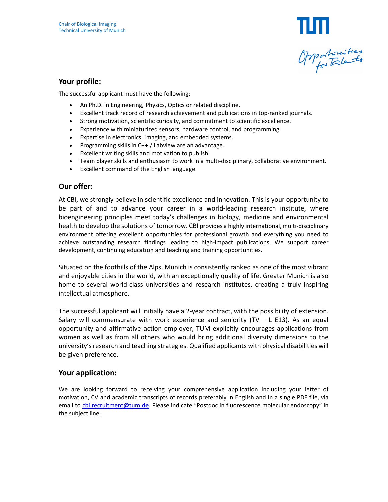

#### **Your profile:**

The successful applicant must have the following:

- An Ph.D. in Engineering, Physics, Optics or related discipline.
- Excellent track record of research achievement and publications in top-ranked journals.
- Strong motivation, scientific curiosity, and commitment to scientific excellence.
- Experience with miniaturized sensors, hardware control, and programming.
- Expertise in electronics, imaging, and embedded systems.
- Programming skills in  $C++/$  Labview are an advantage.
- Excellent writing skills and motivation to publish.
- Team player skills and enthusiasm to work in a multi-disciplinary, collaborative environment.
- Excellent command of the English language.

## **Our offer:**

At CBI, we strongly believe in scientific excellence and innovation. This is your opportunity to be part of and to advance your career in a world-leading research institute, where bioengineering principles meet today's challenges in biology, medicine and environmental health to develop the solutions of tomorrow. CBI provides a highly international, multi-disciplinary environment offering excellent opportunities for professional growth and everything you need to achieve outstanding research findings leading to high-impact publications. We support career development, continuing education and teaching and training opportunities.

Situated on the foothills of the Alps, Munich is consistently ranked as one of the most vibrant and enjoyable cities in the world, with an exceptionally quality of life. Greater Munich is also home to several world-class universities and research institutes, creating a truly inspiring intellectual atmosphere.

The successful applicant will initially have a 2-year contract, with the possibility of extension. Salary will commensurate with work experience and seniority  $(TV - L E13)$ . As an equal opportunity and affirmative action employer, TUM explicitly encourages applications from women as well as from all others who would bring additional diversity dimensions to the university's research and teaching strategies. Qualified applicants with physical disabilities will be given preference.

## **Your application:**

We are looking forward to receiving your comprehensive application including your letter of motivation, CV and academic transcripts of records preferably in English and in a single PDF file, via email to cbi.recruitment@tum.de. Please indicate "Postdoc in fluorescence molecular endoscopy" in the subject line.